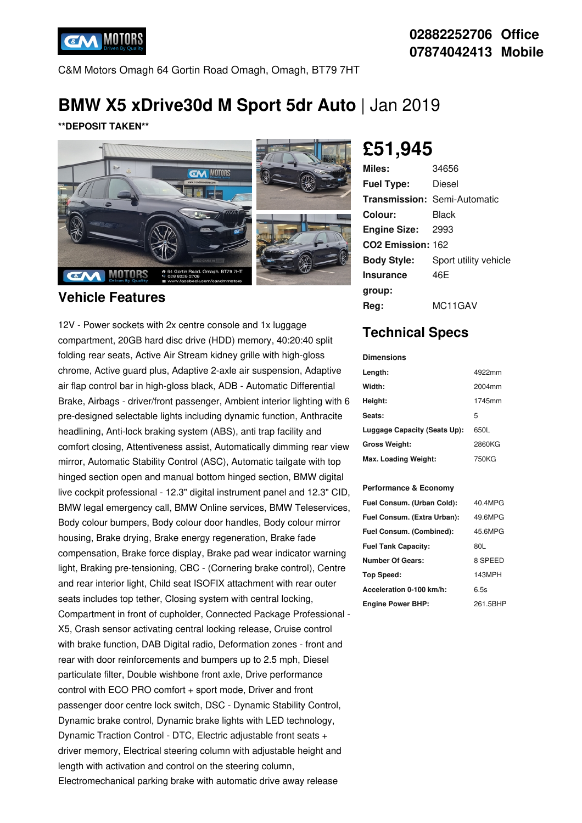

## **02882252706 Office 07874042413 Mobile**

C&M Motors Omagh 64 Gortin Road Omagh, Omagh, BT79 7HT

# **BMW X5 xDrive30d M Sport 5dr Auto** | Jan 2019

**\*\*DEPOSIT TAKEN\*\***



### **Vehicle Features**

12V - Power sockets with 2x centre console and 1x luggage compartment, 20GB hard disc drive (HDD) memory, 40:20:40 split folding rear seats, Active Air Stream kidney grille with high-gloss chrome, Active guard plus, Adaptive 2-axle air suspension, Adaptive air flap control bar in high-gloss black, ADB - Automatic Differential Brake, Airbags - driver/front passenger, Ambient interior lighting with 6 pre-designed selectable lights including dynamic function, Anthracite headlining, Anti-lock braking system (ABS), anti trap facility and comfort closing, Attentiveness assist, Automatically dimming rear view mirror, Automatic Stability Control (ASC), Automatic tailgate with top hinged section open and manual bottom hinged section, BMW digital live cockpit professional - 12.3" digital instrument panel and 12.3" CID, BMW legal emergency call, BMW Online services, BMW Teleservices, Body colour bumpers, Body colour door handles, Body colour mirror housing, Brake drying, Brake energy regeneration, Brake fade compensation, Brake force display, Brake pad wear indicator warning light, Braking pre-tensioning, CBC - (Cornering brake control), Centre and rear interior light, Child seat ISOFIX attachment with rear outer seats includes top tether, Closing system with central locking, Compartment in front of cupholder, Connected Package Professional - X5, Crash sensor activating central locking release, Cruise control with brake function, DAB Digital radio, Deformation zones - front and rear with door reinforcements and bumpers up to 2.5 mph, Diesel particulate filter, Double wishbone front axle, Drive performance control with ECO PRO comfort + sport mode, Driver and front passenger door centre lock switch, DSC - Dynamic Stability Control, Dynamic brake control, Dynamic brake lights with LED technology, Dynamic Traction Control - DTC, Electric adjustable front seats + driver memory, Electrical steering column with adjustable height and length with activation and control on the steering column, Electromechanical parking brake with automatic drive away release

# **£51,945**

| Miles:                        | 34656                               |
|-------------------------------|-------------------------------------|
| <b>Fuel Type:</b>             | Diesel                              |
|                               | <b>Transmission: Semi-Automatic</b> |
| Colour:                       | Black                               |
| <b>Engine Size:</b>           | 2993                                |
| CO <sub>2</sub> Emission: 162 |                                     |
| <b>Body Style:</b>            | Sport utility vehicle               |
| <b>Insurance</b>              | 46F                                 |
| group:                        |                                     |
| Rea:                          | MC11GAV                             |

# **Technical Specs**

| <b>Dimensions</b>            |        |
|------------------------------|--------|
| Length:                      | 4922mm |
| Width:                       | 2004mm |
| Height:                      | 1745mm |
| Seats:                       | 5      |
| Luggage Capacity (Seats Up): | 650L   |
| <b>Gross Weight:</b>         | 2860KG |
| Max. Loading Weight:         | 750KG  |

#### **Performance & Economy**

| Fuel Consum. (Urban Cold):  | 40.4MPG  |
|-----------------------------|----------|
| Fuel Consum. (Extra Urban): | 49.6MPG  |
| Fuel Consum. (Combined):    | 45.6MPG  |
| <b>Fuel Tank Capacity:</b>  | 80L      |
| <b>Number Of Gears:</b>     | 8 SPEED  |
| <b>Top Speed:</b>           | 143MPH   |
| Acceleration 0-100 km/h:    | 6.5s     |
| <b>Engine Power BHP:</b>    | 261.5BHP |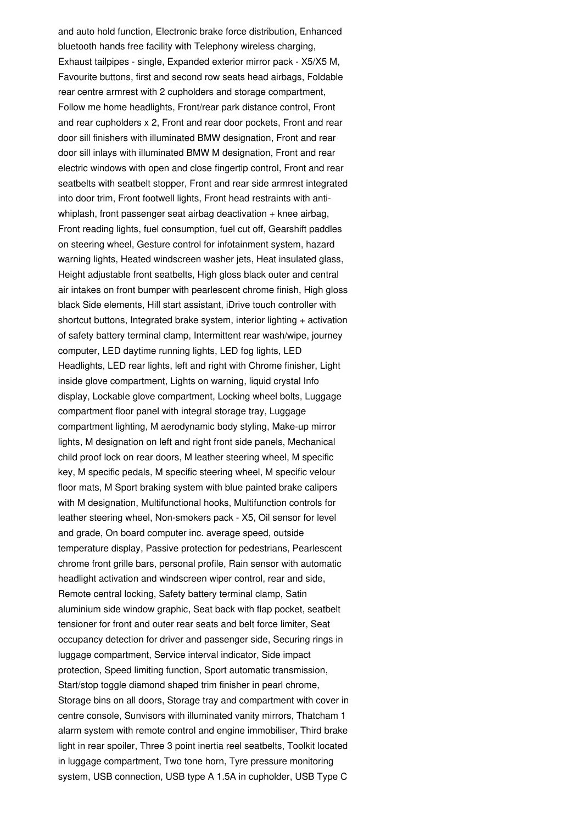and auto hold function, Electronic brake force distribution, Enhanced bluetooth hands free facility with Telephony wireless charging, Exhaust tailpipes - single, Expanded exterior mirror pack - X5/X5 M, Favourite buttons, first and second row seats head airbags, Foldable rear centre armrest with 2 cupholders and storage compartment, Follow me home headlights, Front/rear park distance control, Front and rear cupholders x 2, Front and rear door pockets, Front and rear door sill finishers with illuminated BMW designation, Front and rear door sill inlays with illuminated BMW M designation, Front and rear electric windows with open and close fingertip control, Front and rear seatbelts with seatbelt stopper, Front and rear side armrest integrated into door trim, Front footwell lights, Front head restraints with anti whiplash, front passenger seat airbag deactivation + knee airbag, Front reading lights, fuel consumption, fuel cut off, Gearshift paddles on steering wheel, Gesture control for infotainment system, hazard warning lights, Heated windscreen washer jets, Heat insulated glass, Height adjustable front seatbelts, High gloss black outer and central air intakes on front bumper with pearlescent chrome finish, High gloss black Side elements, Hill start assistant, iDrive touch controller with shortcut buttons, Integrated brake system, interior lighting + activation of safety battery terminal clamp, Intermittent rear wash/wipe, journey computer, LED daytime running lights, LED fog lights, LED Headlights, LED rear lights, left and right with Chrome finisher, Light inside glove compartment. Lights on warning, liquid crystal Info display, Lockable glove compartment, Locking wheel bolts, Luggage compartment floor panel with integral storage tray, Luggage compartment lighting, M aerodynamic body styling, Make-up mirror lights, M designation on left and right front side panels, Mechanical child proof lock on rear doors, M leather steering wheel, M specific key, M specific pedals, M specific steering wheel, M specific velour floor mats, M Sport braking system with blue painted brake calipers with M designation, Multifunctional hooks, Multifunction controls for leather steering wheel, Non-smokers pack - X5, Oil sensor for level and grade, On board computer inc. average speed, outside temperature display, Passive protection for pedestrians, Pearlescent chrome front grille bars, personal profile, Rain sensor with automatic headlight activation and windscreen wiper control, rear and side, Remote central locking, Safety battery terminal clamp, Satin aluminium side window graphic, Seat back with flap pocket, seatbelt tensioner for front and outer rear seats and belt force limiter, Seat occupancy detection for driver and passenger side, Securing rings in luggage compartment, Service interval indicator, Side impact protection, Speed limiting function, Sport automatic transmission, Start/stop toggle diamond shaped trim finisher in pearl chrome, Storage bins on all doors, Storage tray and compartment with cover in centre console, Sunvisors with illuminated vanity mirrors, Thatcham 1 alarm system with remote control and engine immobiliser, Third brake light in rear spoiler, Three 3 point inertia reel seatbelts, Toolkit located in luggage compartment, Two tone horn, Tyre pressure monitoring system, USB connection, USB type A 1.5A in cupholder, USB Type C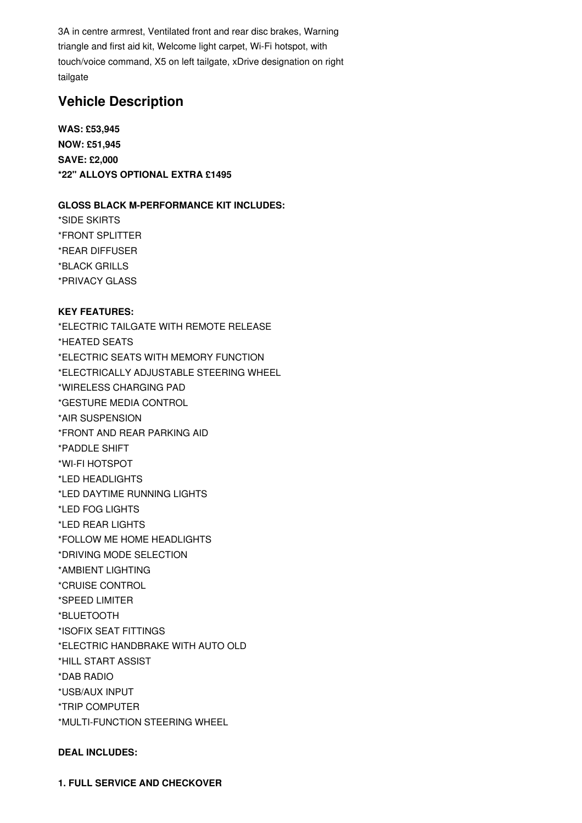3A in centre armrest, Ventilated front and rear disc brakes, Warning triangle and first aid kit, Welcome light carpet, Wi-Fi hotspot, with touch/voice command, X5 on left tailgate, xDrive designation on right tailgate

## **Vehicle Description**

**WAS: £53,945 NOW: £51,945 SAVE: £2,000 \*22" ALLOYS OPTIONAL EXTRA £1495**

#### **GLOSS BLACK M-PERFORMANCE KIT INCLUDES:**

\*SIDE SKIRTS \*FRONT SPLITTER \*REAR DIFFUSER \*BLACK GRILLS \*PRIVACY GLASS

#### **KEY FEATURES:**

\*ELECTRIC TAILGATE WITH REMOTE RELEASE \*HEATED SEATS \*ELECTRIC SEATS WITH MEMORY FUNCTION \*ELECTRICALLY ADJUSTABLE STEERING WHEEL \*WIRELESS CHARGING PAD \*GESTURE MEDIA CONTROL \*AIR SUSPENSION \*FRONT AND REAR PARKING AID \*PADDLE SHIFT \*WI-FI HOTSPOT \*LED HEADLIGHTS \*LED DAYTIME RUNNING LIGHTS \*LED FOG LIGHTS \*LED REAR LIGHTS \*FOLLOW ME HOME HEADLIGHTS \*DRIVING MODE SELECTION \*AMBIENT LIGHTING \*CRUISE CONTROL \*SPEED LIMITER \*BLUETOOTH \*ISOFIX SEAT FITTINGS \*ELECTRIC HANDBRAKE WITH AUTO OLD \*HILL START ASSIST \*DAB RADIO \*USB/AUX INPUT \*TRIP COMPUTER \*MULTI-FUNCTION STEERING WHEEL

#### **DEAL INCLUDES:**

**1. FULL SERVICE AND CHECKOVER**